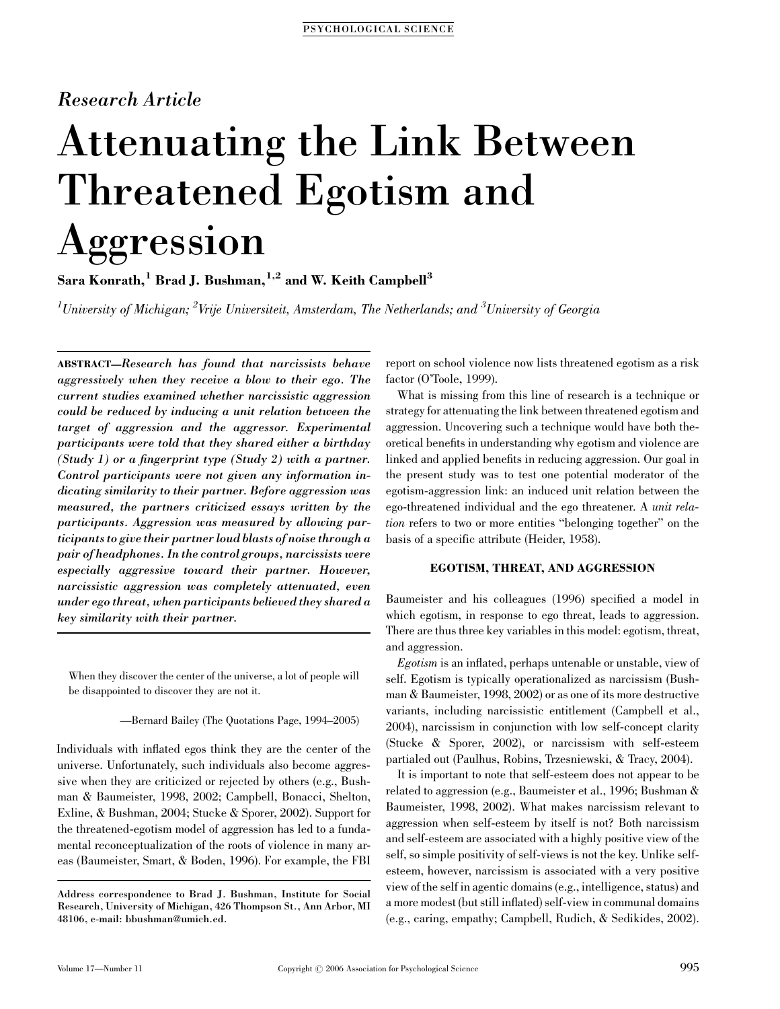Research Article

# Attenuating the Link Between Threatened Egotism and Aggression

Sara Konrath,<sup>1</sup> Brad J. Bushman,<sup>1,2</sup> and W. Keith Campbell<sup>3</sup>

 $^1$ University of Michigan;  $^2$ Vrije Universiteit, Amsterdam, The Netherlands; and  $^3$ University of Georgia

ABSTRACT—Research has found that narcissists behave aggressively when they receive a blow to their ego. The current studies examined whether narcissistic aggression could be reduced by inducing a unit relation between the target of aggression and the aggressor. Experimental participants were told that they shared either a birthday (Study 1) or a fingerprint type (Study 2) with a partner. Control participants were not given any information indicating similarity to their partner. Before aggression was measured, the partners criticized essays written by the participants. Aggression was measured by allowing participants to give their partner loud blasts of noise through a pair of headphones. In the control groups, narcissists were especially aggressive toward their partner. However, narcissistic aggression was completely attenuated, even under ego threat, when participants believed they shared a key similarity with their partner.

When they discover the center of the universe, a lot of people will be disappointed to discover they are not it.

—Bernard Bailey (The Quotations Page, 1994–2005)

Individuals with inflated egos think they are the center of the universe. Unfortunately, such individuals also become aggressive when they are criticized or rejected by others (e.g., Bushman & Baumeister, 1998, 2002; Campbell, Bonacci, Shelton, Exline, & Bushman, 2004; Stucke & Sporer, 2002). Support for the threatened-egotism model of aggression has led to a fundamental reconceptualization of the roots of violence in many areas (Baumeister, Smart, & Boden, 1996). For example, the FBI report on school violence now lists threatened egotism as a risk factor (O'Toole, 1999).

What is missing from this line of research is a technique or strategy for attenuating the link between threatened egotism and aggression. Uncovering such a technique would have both theoretical benefits in understanding why egotism and violence are linked and applied benefits in reducing aggression. Our goal in the present study was to test one potential moderator of the egotism-aggression link: an induced unit relation between the ego-threatened individual and the ego threatener. A unit relation refers to two or more entities ''belonging together'' on the basis of a specific attribute (Heider, 1958).

# EGOTISM, THREAT, AND AGGRESSION

Baumeister and his colleagues (1996) specified a model in which egotism, in response to ego threat, leads to aggression. There are thus three key variables in this model: egotism, threat, and aggression.

Egotism is an inflated, perhaps untenable or unstable, view of self. Egotism is typically operationalized as narcissism (Bushman & Baumeister, 1998, 2002) or as one of its more destructive variants, including narcissistic entitlement (Campbell et al., 2004), narcissism in conjunction with low self-concept clarity (Stucke & Sporer, 2002), or narcissism with self-esteem partialed out (Paulhus, Robins, Trzesniewski, & Tracy, 2004).

It is important to note that self-esteem does not appear to be related to aggression (e.g., Baumeister et al., 1996; Bushman & Baumeister, 1998, 2002). What makes narcissism relevant to aggression when self-esteem by itself is not? Both narcissism and self-esteem are associated with a highly positive view of the self, so simple positivity of self-views is not the key. Unlike selfesteem, however, narcissism is associated with a very positive view of the self in agentic domains (e.g., intelligence, status) and a more modest (but still inflated) self-view in communal domains (e.g., caring, empathy; Campbell, Rudich, & Sedikides, 2002).

Address correspondence to Brad J. Bushman, Institute for Social Research, University of Michigan, 426 Thompson St., Ann Arbor, MI 48106, e-mail: bbushman@umich.ed.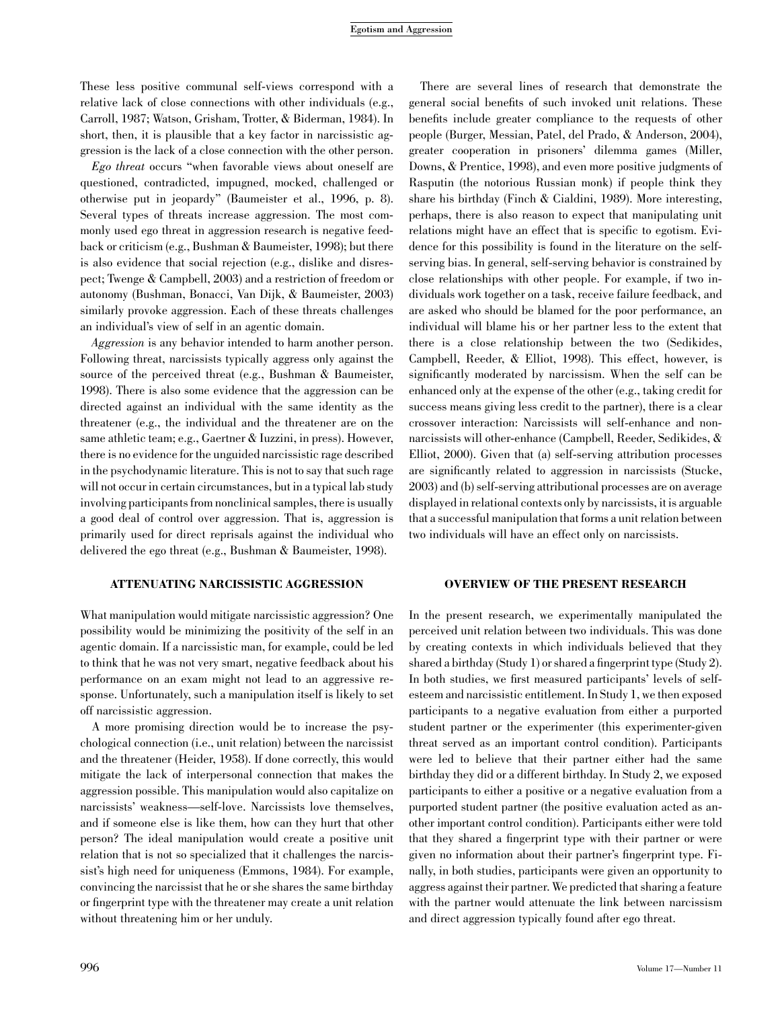These less positive communal self-views correspond with a relative lack of close connections with other individuals (e.g., Carroll, 1987; Watson, Grisham, Trotter, & Biderman, 1984). In short, then, it is plausible that a key factor in narcissistic aggression is the lack of a close connection with the other person.

Ego threat occurs ''when favorable views about oneself are questioned, contradicted, impugned, mocked, challenged or otherwise put in jeopardy'' (Baumeister et al., 1996, p. 8). Several types of threats increase aggression. The most commonly used ego threat in aggression research is negative feedback or criticism (e.g., Bushman & Baumeister, 1998); but there is also evidence that social rejection (e.g., dislike and disrespect; Twenge & Campbell, 2003) and a restriction of freedom or autonomy (Bushman, Bonacci, Van Dijk, & Baumeister, 2003) similarly provoke aggression. Each of these threats challenges an individual's view of self in an agentic domain.

Aggression is any behavior intended to harm another person. Following threat, narcissists typically aggress only against the source of the perceived threat (e.g., Bushman & Baumeister, 1998). There is also some evidence that the aggression can be directed against an individual with the same identity as the threatener (e.g., the individual and the threatener are on the same athletic team; e.g., Gaertner & Iuzzini, in press). However, there is no evidence for the unguided narcissistic rage described in the psychodynamic literature. This is not to say that such rage will not occur in certain circumstances, but in a typical lab study involving participants from nonclinical samples, there is usually a good deal of control over aggression. That is, aggression is primarily used for direct reprisals against the individual who delivered the ego threat (e.g., Bushman & Baumeister, 1998).

## ATTENUATING NARCISSISTIC AGGRESSION

What manipulation would mitigate narcissistic aggression? One possibility would be minimizing the positivity of the self in an agentic domain. If a narcissistic man, for example, could be led to think that he was not very smart, negative feedback about his performance on an exam might not lead to an aggressive response. Unfortunately, such a manipulation itself is likely to set off narcissistic aggression.

A more promising direction would be to increase the psychological connection (i.e., unit relation) between the narcissist and the threatener (Heider, 1958). If done correctly, this would mitigate the lack of interpersonal connection that makes the aggression possible. This manipulation would also capitalize on narcissists' weakness—self-love. Narcissists love themselves, and if someone else is like them, how can they hurt that other person? The ideal manipulation would create a positive unit relation that is not so specialized that it challenges the narcissist's high need for uniqueness (Emmons, 1984). For example, convincing the narcissist that he or she shares the same birthday or fingerprint type with the threatener may create a unit relation without threatening him or her unduly.

There are several lines of research that demonstrate the general social benefits of such invoked unit relations. These benefits include greater compliance to the requests of other people (Burger, Messian, Patel, del Prado, & Anderson, 2004), greater cooperation in prisoners' dilemma games (Miller, Downs, & Prentice, 1998), and even more positive judgments of Rasputin (the notorious Russian monk) if people think they share his birthday (Finch & Cialdini, 1989). More interesting, perhaps, there is also reason to expect that manipulating unit relations might have an effect that is specific to egotism. Evidence for this possibility is found in the literature on the selfserving bias. In general, self-serving behavior is constrained by close relationships with other people. For example, if two individuals work together on a task, receive failure feedback, and are asked who should be blamed for the poor performance, an individual will blame his or her partner less to the extent that there is a close relationship between the two (Sedikides, Campbell, Reeder, & Elliot, 1998). This effect, however, is significantly moderated by narcissism. When the self can be enhanced only at the expense of the other (e.g., taking credit for success means giving less credit to the partner), there is a clear crossover interaction: Narcissists will self-enhance and nonnarcissists will other-enhance (Campbell, Reeder, Sedikides, & Elliot, 2000). Given that (a) self-serving attribution processes are significantly related to aggression in narcissists (Stucke, 2003) and (b) self-serving attributional processes are on average displayed in relational contexts only by narcissists, it is arguable that a successful manipulation that forms a unit relation between two individuals will have an effect only on narcissists.

## OVERVIEW OF THE PRESENT RESEARCH

In the present research, we experimentally manipulated the perceived unit relation between two individuals. This was done by creating contexts in which individuals believed that they shared a birthday (Study 1) or shared a fingerprint type (Study 2). In both studies, we first measured participants' levels of selfesteem and narcissistic entitlement. In Study 1, we then exposed participants to a negative evaluation from either a purported student partner or the experimenter (this experimenter-given threat served as an important control condition). Participants were led to believe that their partner either had the same birthday they did or a different birthday. In Study 2, we exposed participants to either a positive or a negative evaluation from a purported student partner (the positive evaluation acted as another important control condition). Participants either were told that they shared a fingerprint type with their partner or were given no information about their partner's fingerprint type. Finally, in both studies, participants were given an opportunity to aggress against their partner. We predicted that sharing a feature with the partner would attenuate the link between narcissism and direct aggression typically found after ego threat.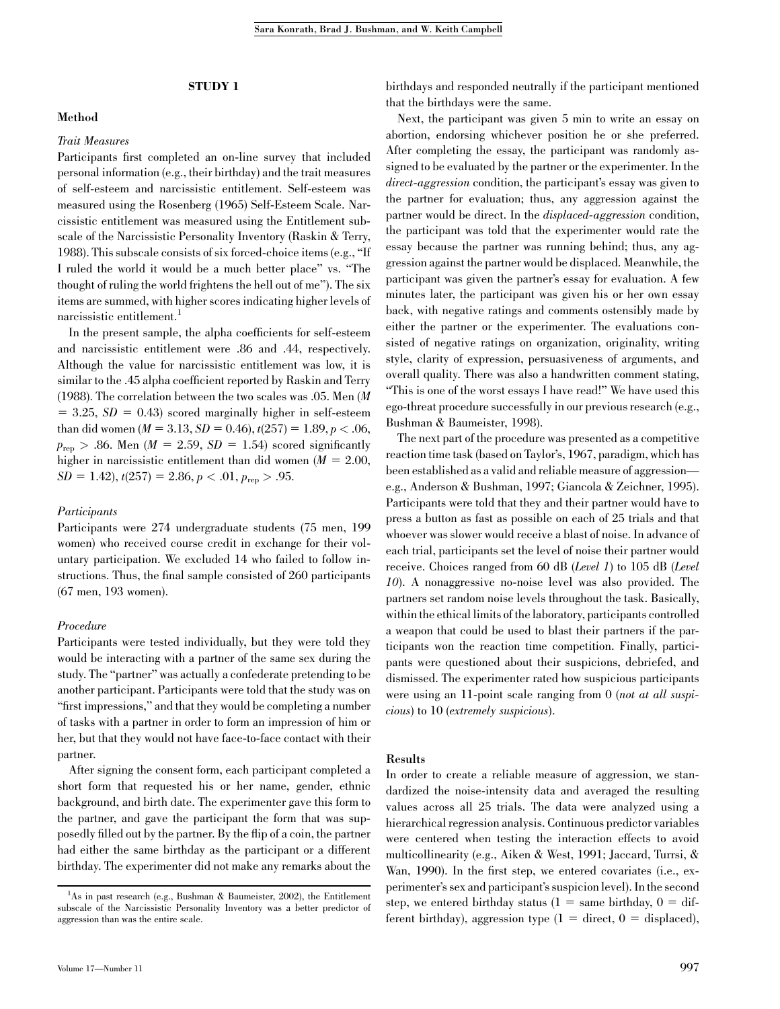# STUDY 1

# Method

# Trait Measures

Participants first completed an on-line survey that included personal information (e.g., their birthday) and the trait measures of self-esteem and narcissistic entitlement. Self-esteem was measured using the Rosenberg (1965) Self-Esteem Scale. Narcissistic entitlement was measured using the Entitlement subscale of the Narcissistic Personality Inventory (Raskin & Terry, 1988). This subscale consists of six forced-choice items (e.g., ''If I ruled the world it would be a much better place'' vs. ''The thought of ruling the world frightens the hell out of me''). The six items are summed, with higher scores indicating higher levels of narcissistic entitlement.<sup>1</sup>

In the present sample, the alpha coefficients for self-esteem and narcissistic entitlement were .86 and .44, respectively. Although the value for narcissistic entitlement was low, it is similar to the .45 alpha coefficient reported by Raskin and Terry (1988). The correlation between the two scales was .05. Men (M  $=$  3.25,  $SD = 0.43$ ) scored marginally higher in self-esteem than did women ( $M = 3.13$ ,  $SD = 0.46$ ),  $t(257) = 1.89$ ,  $p < .06$ ,  $p_{\text{ren}} > .86$ . Men ( $M = 2.59$ ,  $SD = 1.54$ ) scored significantly higher in narcissistic entitlement than did women ( $M = 2.00$ ,  $SD = 1.42$ ),  $t(257) = 2.86$ ,  $p < .01$ ,  $p_{\text{ren}} > .95$ .

## **Participants**

Participants were 274 undergraduate students (75 men, 199 women) who received course credit in exchange for their voluntary participation. We excluded 14 who failed to follow instructions. Thus, the final sample consisted of 260 participants (67 men, 193 women).

# Procedure

Participants were tested individually, but they were told they would be interacting with a partner of the same sex during the study. The "partner" was actually a confederate pretending to be another participant. Participants were told that the study was on ''first impressions,'' and that they would be completing a number of tasks with a partner in order to form an impression of him or her, but that they would not have face-to-face contact with their partner.

After signing the consent form, each participant completed a short form that requested his or her name, gender, ethnic background, and birth date. The experimenter gave this form to the partner, and gave the participant the form that was supposedly filled out by the partner. By the flip of a coin, the partner had either the same birthday as the participant or a different birthday. The experimenter did not make any remarks about the birthdays and responded neutrally if the participant mentioned that the birthdays were the same.

Next, the participant was given 5 min to write an essay on abortion, endorsing whichever position he or she preferred. After completing the essay, the participant was randomly assigned to be evaluated by the partner or the experimenter. In the direct-aggression condition, the participant's essay was given to the partner for evaluation; thus, any aggression against the partner would be direct. In the displaced-aggression condition, the participant was told that the experimenter would rate the essay because the partner was running behind; thus, any aggression against the partner would be displaced. Meanwhile, the participant was given the partner's essay for evaluation. A few minutes later, the participant was given his or her own essay back, with negative ratings and comments ostensibly made by either the partner or the experimenter. The evaluations consisted of negative ratings on organization, originality, writing style, clarity of expression, persuasiveness of arguments, and overall quality. There was also a handwritten comment stating, ''This is one of the worst essays I have read!'' We have used this ego-threat procedure successfully in our previous research (e.g., Bushman & Baumeister, 1998).

The next part of the procedure was presented as a competitive reaction time task (based on Taylor's, 1967, paradigm, which has been established as a valid and reliable measure of aggression e.g., Anderson & Bushman, 1997; Giancola & Zeichner, 1995). Participants were told that they and their partner would have to press a button as fast as possible on each of 25 trials and that whoever was slower would receive a blast of noise. In advance of each trial, participants set the level of noise their partner would receive. Choices ranged from 60 dB (Level 1) to 105 dB (Level 10). A nonaggressive no-noise level was also provided. The partners set random noise levels throughout the task. Basically, within the ethical limits of the laboratory, participants controlled a weapon that could be used to blast their partners if the participants won the reaction time competition. Finally, participants were questioned about their suspicions, debriefed, and dismissed. The experimenter rated how suspicious participants were using an 11-point scale ranging from 0 (not at all suspicious) to 10 (extremely suspicious).

#### Results

In order to create a reliable measure of aggression, we standardized the noise-intensity data and averaged the resulting values across all 25 trials. The data were analyzed using a hierarchical regression analysis. Continuous predictor variables were centered when testing the interaction effects to avoid multicollinearity (e.g., Aiken & West, 1991; Jaccard, Turrsi, & Wan, 1990). In the first step, we entered covariates (i.e., experimenter's sex and participant's suspicion level). In the second step, we entered birthday status (1 = same birthday, 0 = different birthday), aggression type  $(1 =$  direct,  $0 =$  displaced),

<sup>&</sup>lt;sup>1</sup>As in past research (e.g., Bushman & Baumeister, 2002), the Entitlement subscale of the Narcissistic Personality Inventory was a better predictor of aggression than was the entire scale.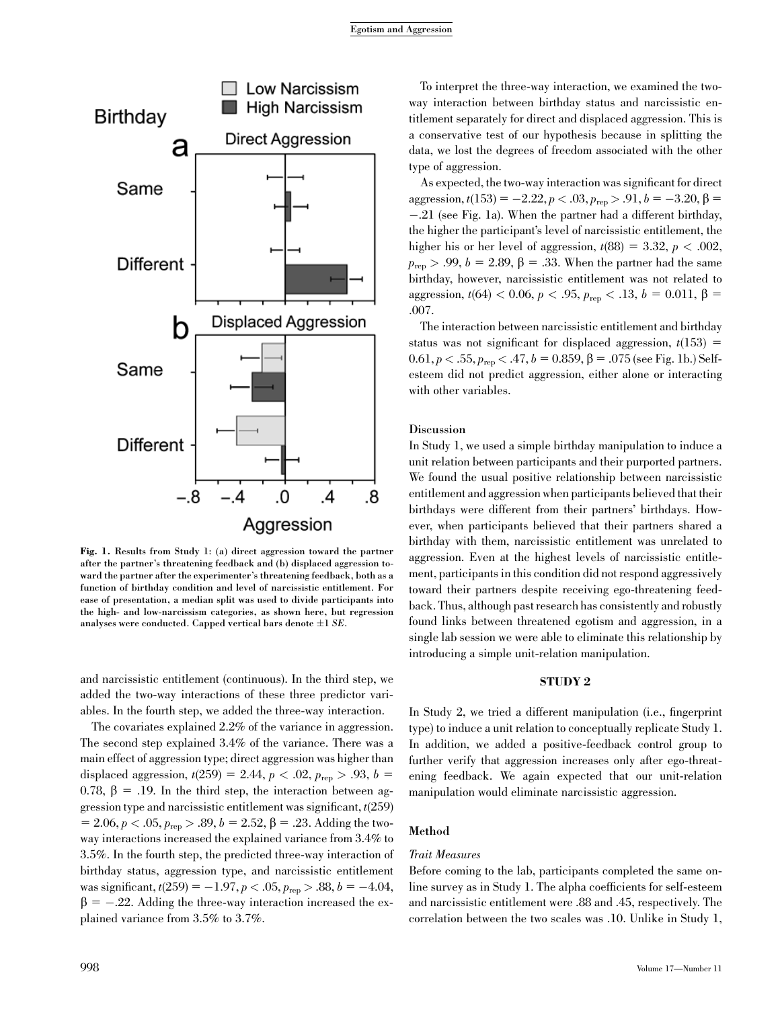

Fig. 1. Results from Study 1: (a) direct aggression toward the partner after the partner's threatening feedback and (b) displaced aggression toward the partner after the experimenter's threatening feedback, both as a function of birthday condition and level of narcissistic entitlement. For ease of presentation, a median split was used to divide participants into the high- and low-narcissism categories, as shown here, but regression analyses were conducted. Capped vertical bars denote  $\pm 1$  SE.

and narcissistic entitlement (continuous). In the third step, we added the two-way interactions of these three predictor variables. In the fourth step, we added the three-way interaction.

The covariates explained 2.2% of the variance in aggression. The second step explained 3.4% of the variance. There was a main effect of aggression type; direct aggression was higher than displaced aggression,  $t(259) = 2.44$ ,  $p < .02$ ,  $p_{\text{rep}} > .93$ ,  $b =$ 0.78,  $\beta$  = .19. In the third step, the interaction between aggression type and narcissistic entitlement was significant,  $t(259)$  $= 2.06, p < .05, p_{\text{ren}} > .89, b = 2.52, \beta = .23$ . Adding the twoway interactions increased the explained variance from 3.4% to 3.5%. In the fourth step, the predicted three-way interaction of birthday status, aggression type, and narcissistic entitlement was significant,  $t(259) = -1.97$ ,  $p < .05$ ,  $p_{\text{rep}} > .88$ ,  $b = -4.04$ ,  $\beta = -0.22$ . Adding the three-way interaction increased the explained variance from 3.5% to 3.7%.

As expected, the two-way interaction was significant for direct aggression,  $t(153) = -2.22, p < .03, p_{\text{rep}} > .91, b = -3.20, \beta =$ .21 (see Fig. 1a). When the partner had a different birthday, the higher the participant's level of narcissistic entitlement, the higher his or her level of aggression,  $t(88) = 3.32$ ,  $p < .002$ ,  $p_{\text{rep}} > .99, b = 2.89, \beta = .33$ . When the partner had the same birthday, however, narcissistic entitlement was not related to aggression,  $t(64) < 0.06$ ,  $p < .95$ ,  $p_{\text{rep}} < .13$ ,  $b = 0.011$ ,  $\beta =$ .007.

The interaction between narcissistic entitlement and birthday status was not significant for displaced aggression,  $t(153)$  =  $0.61, p < .55, p_{\text{rep}} < .47, b = 0.859, \beta = .075$  (see Fig. 1b.) Selfesteem did not predict aggression, either alone or interacting with other variables.

#### Discussion

In Study 1, we used a simple birthday manipulation to induce a unit relation between participants and their purported partners. We found the usual positive relationship between narcissistic entitlement and aggression when participants believed that their birthdays were different from their partners' birthdays. However, when participants believed that their partners shared a birthday with them, narcissistic entitlement was unrelated to aggression. Even at the highest levels of narcissistic entitlement, participants in this condition did not respond aggressively toward their partners despite receiving ego-threatening feedback. Thus, although past research has consistently and robustly found links between threatened egotism and aggression, in a single lab session we were able to eliminate this relationship by introducing a simple unit-relation manipulation.

# STUDY 2

In Study 2, we tried a different manipulation (i.e., fingerprint type) to induce a unit relation to conceptually replicate Study 1. In addition, we added a positive-feedback control group to further verify that aggression increases only after ego-threatening feedback. We again expected that our unit-relation manipulation would eliminate narcissistic aggression.

## Method

# Trait Measures

Before coming to the lab, participants completed the same online survey as in Study 1. The alpha coefficients for self-esteem and narcissistic entitlement were .88 and .45, respectively. The correlation between the two scales was .10. Unlike in Study 1,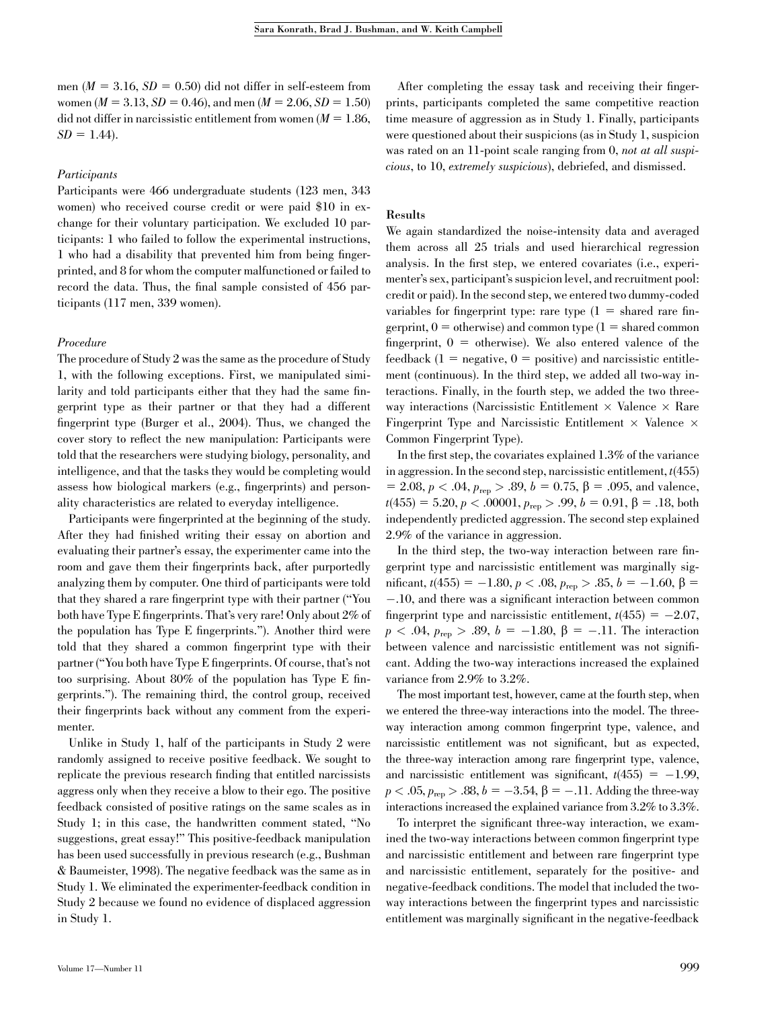men ( $M = 3.16$ ,  $SD = 0.50$ ) did not differ in self-esteem from women ( $M = 3.13$ ,  $SD = 0.46$ ), and men ( $M = 2.06$ ,  $SD = 1.50$ ) did not differ in narcissistic entitlement from women  $(M = 1.86,$  $SD = 1.44$ .

# **Participants**

Participants were 466 undergraduate students (123 men, 343 women) who received course credit or were paid \$10 in exchange for their voluntary participation. We excluded 10 participants: 1 who failed to follow the experimental instructions, 1 who had a disability that prevented him from being fingerprinted, and 8 for whom the computer malfunctioned or failed to record the data. Thus, the final sample consisted of 456 participants (117 men, 339 women).

## Procedure

The procedure of Study 2 was the same as the procedure of Study 1, with the following exceptions. First, we manipulated similarity and told participants either that they had the same fingerprint type as their partner or that they had a different fingerprint type (Burger et al., 2004). Thus, we changed the cover story to reflect the new manipulation: Participants were told that the researchers were studying biology, personality, and intelligence, and that the tasks they would be completing would assess how biological markers (e.g., fingerprints) and personality characteristics are related to everyday intelligence.

Participants were fingerprinted at the beginning of the study. After they had finished writing their essay on abortion and evaluating their partner's essay, the experimenter came into the room and gave them their fingerprints back, after purportedly analyzing them by computer. One third of participants were told that they shared a rare fingerprint type with their partner (''You both have Type E fingerprints. That's very rare! Only about 2% of the population has Type E fingerprints.''). Another third were told that they shared a common fingerprint type with their partner (''You both have Type E fingerprints. Of course, that's not too surprising. About 80% of the population has Type E fingerprints.''). The remaining third, the control group, received their fingerprints back without any comment from the experimenter.

Unlike in Study 1, half of the participants in Study 2 were randomly assigned to receive positive feedback. We sought to replicate the previous research finding that entitled narcissists aggress only when they receive a blow to their ego. The positive feedback consisted of positive ratings on the same scales as in Study 1; in this case, the handwritten comment stated, ''No suggestions, great essay!'' This positive-feedback manipulation has been used successfully in previous research (e.g., Bushman & Baumeister, 1998). The negative feedback was the same as in Study 1. We eliminated the experimenter-feedback condition in Study 2 because we found no evidence of displaced aggression in Study 1.

After completing the essay task and receiving their fingerprints, participants completed the same competitive reaction time measure of aggression as in Study 1. Finally, participants were questioned about their suspicions (as in Study 1, suspicion was rated on an 11-point scale ranging from 0, not at all suspicious, to 10, extremely suspicious), debriefed, and dismissed.

#### Results

We again standardized the noise-intensity data and averaged them across all 25 trials and used hierarchical regression analysis. In the first step, we entered covariates (i.e., experimenter's sex, participant's suspicion level, and recruitment pool: credit or paid). In the second step, we entered two dummy-coded variables for fingerprint type: rare type  $(1 =$  shared rare fingerprint,  $0 =$  otherwise) and common type (1 = shared common fingerprint,  $0 =$  otherwise). We also entered valence of the feedback  $(1 =$  negative,  $0 =$  positive) and narcissistic entitlement (continuous). In the third step, we added all two-way interactions. Finally, in the fourth step, we added the two threeway interactions (Narcissistic Entitlement  $\times$  Valence  $\times$  Rare Fingerprint Type and Narcissistic Entitlement  $\times$  Valence  $\times$ Common Fingerprint Type).

In the first step, the covariates explained 1.3% of the variance in aggression. In the second step, narcissistic entitlement,  $t(455)$  $= 2.08, p < .04, p_{\text{rep}} > .89, b = 0.75, \beta = .095, \text{ and valence,}$  $t(455) = 5.20, p < .00001, p_{rep} > .99, b = 0.91, \beta = .18, \text{both}$ independently predicted aggression. The second step explained 2.9% of the variance in aggression.

In the third step, the two-way interaction between rare fingerprint type and narcissistic entitlement was marginally significant,  $t(455) = -1.80, p < .08, p_{\text{rep}} > .85, b = -1.60, \beta =$ .10, and there was a significant interaction between common fingerprint type and narcissistic entitlement,  $t(455) = -2.07$ ,  $p < .04$ ,  $p_{\text{rep}} > .89$ ,  $b = -1.80$ ,  $\beta = -.11$ . The interaction between valence and narcissistic entitlement was not significant. Adding the two-way interactions increased the explained variance from 2.9% to 3.2%.

The most important test, however, came at the fourth step, when we entered the three-way interactions into the model. The threeway interaction among common fingerprint type, valence, and narcissistic entitlement was not significant, but as expected, the three-way interaction among rare fingerprint type, valence, and narcissistic entitlement was significant,  $t(455) = -1.99$ ,  $p < .05, p_{\text{rep}} > .88, b = -3.54, \beta = -.11$ . Adding the three-way interactions increased the explained variance from 3.2% to 3.3%.

To interpret the significant three-way interaction, we examined the two-way interactions between common fingerprint type and narcissistic entitlement and between rare fingerprint type and narcissistic entitlement, separately for the positive- and negative-feedback conditions. The model that included the twoway interactions between the fingerprint types and narcissistic entitlement was marginally significant in the negative-feedback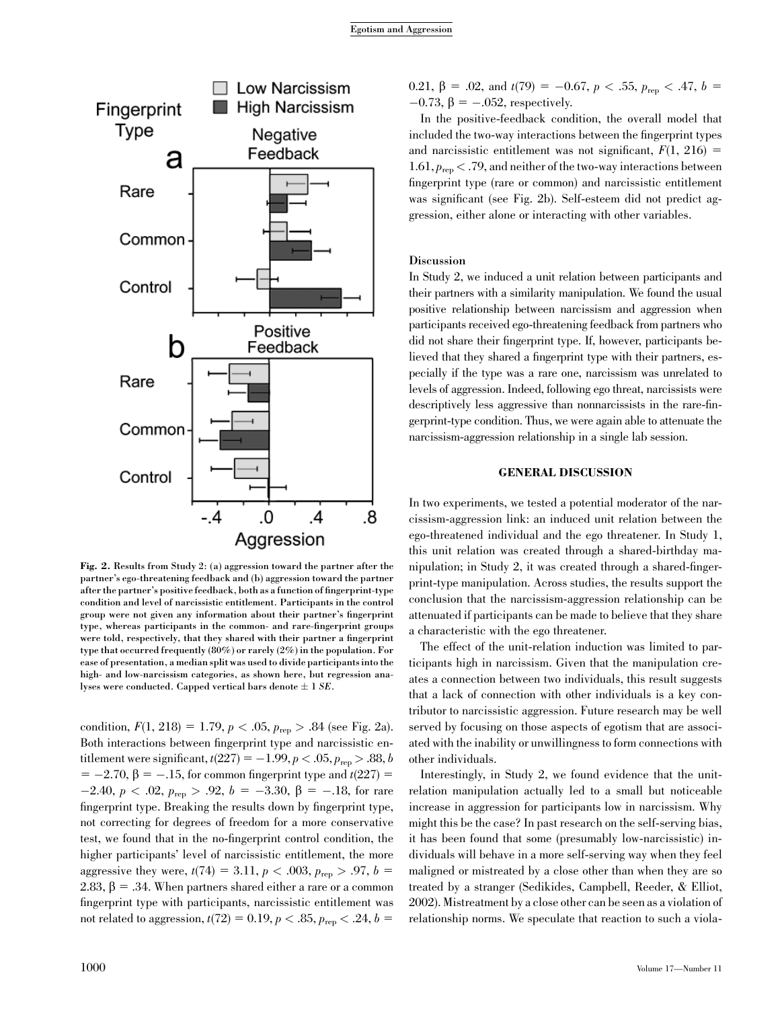

Fig. 2. Results from Study 2: (a) aggression toward the partner after the partner's ego-threatening feedback and (b) aggression toward the partner after the partner's positive feedback, both as a function of fingerprint-type condition and level of narcissistic entitlement. Participants in the control group were not given any information about their partner's fingerprint type, whereas participants in the common- and rare-fingerprint groups were told, respectively, that they shared with their partner a fingerprint type that occurred frequently (80%) or rarely (2%) in the population. For ease of presentation, a median split was used to divide participants into the high- and low-narcissism categories, as shown here, but regression analyses were conducted. Capped vertical bars denote  $\pm$  1 SE.

condition,  $F(1, 218) = 1.79, p < .05, p_{\text{rep}} > .84$  (see Fig. 2a). Both interactions between fingerprint type and narcissistic entitlement were significant,  $t(227) = -1.99, p < .05, p_{\text{rep}} > .88, b$  $= -2.70, \beta = -.15$ , for common fingerprint type and  $t(227) =$  $-2.40, p < .02, p_{\text{rep}} > .92, b = -3.30, \beta = -.18,$  for rare fingerprint type. Breaking the results down by fingerprint type, not correcting for degrees of freedom for a more conservative test, we found that in the no-fingerprint control condition, the higher participants' level of narcissistic entitlement, the more aggressive they were,  $t(74) = 3.11$ ,  $p < .003$ ,  $p_{\text{rep}} > .97$ ,  $b =$ 2.83,  $\beta = .34$ . When partners shared either a rare or a common fingerprint type with participants, narcissistic entitlement was not related to aggression,  $t(72) = 0.19, p < .85, p_{\text{ren}} < .24, b =$ 

0.21,  $\beta = .02$ , and  $t(79) = -0.67$ ,  $p < .55$ ,  $p_{\text{ren}} < .47$ ,  $b =$  $-0.73$ ,  $\beta = -.052$ , respectively.

In the positive-feedback condition, the overall model that included the two-way interactions between the fingerprint types and narcissistic entitlement was not significant,  $F(1, 216) =$  $1.61, p_{\text{rep}} < .79$ , and neither of the two-way interactions between fingerprint type (rare or common) and narcissistic entitlement was significant (see Fig. 2b). Self-esteem did not predict aggression, either alone or interacting with other variables.

# Discussion

In Study 2, we induced a unit relation between participants and their partners with a similarity manipulation. We found the usual positive relationship between narcissism and aggression when participants received ego-threatening feedback from partners who did not share their fingerprint type. If, however, participants believed that they shared a fingerprint type with their partners, especially if the type was a rare one, narcissism was unrelated to levels of aggression. Indeed, following ego threat, narcissists were descriptively less aggressive than nonnarcissists in the rare-fingerprint-type condition. Thus, we were again able to attenuate the narcissism-aggression relationship in a single lab session.

## GENERAL DISCUSSION

In two experiments, we tested a potential moderator of the narcissism-aggression link: an induced unit relation between the ego-threatened individual and the ego threatener. In Study 1, this unit relation was created through a shared-birthday manipulation; in Study 2, it was created through a shared-fingerprint-type manipulation. Across studies, the results support the conclusion that the narcissism-aggression relationship can be attenuated if participants can be made to believe that they share a characteristic with the ego threatener.

The effect of the unit-relation induction was limited to participants high in narcissism. Given that the manipulation creates a connection between two individuals, this result suggests that a lack of connection with other individuals is a key contributor to narcissistic aggression. Future research may be well served by focusing on those aspects of egotism that are associated with the inability or unwillingness to form connections with other individuals.

Interestingly, in Study 2, we found evidence that the unitrelation manipulation actually led to a small but noticeable increase in aggression for participants low in narcissism. Why might this be the case? In past research on the self-serving bias, it has been found that some (presumably low-narcissistic) individuals will behave in a more self-serving way when they feel maligned or mistreated by a close other than when they are so treated by a stranger (Sedikides, Campbell, Reeder, & Elliot, 2002). Mistreatment by a close other can be seen as a violation of relationship norms. We speculate that reaction to such a viola